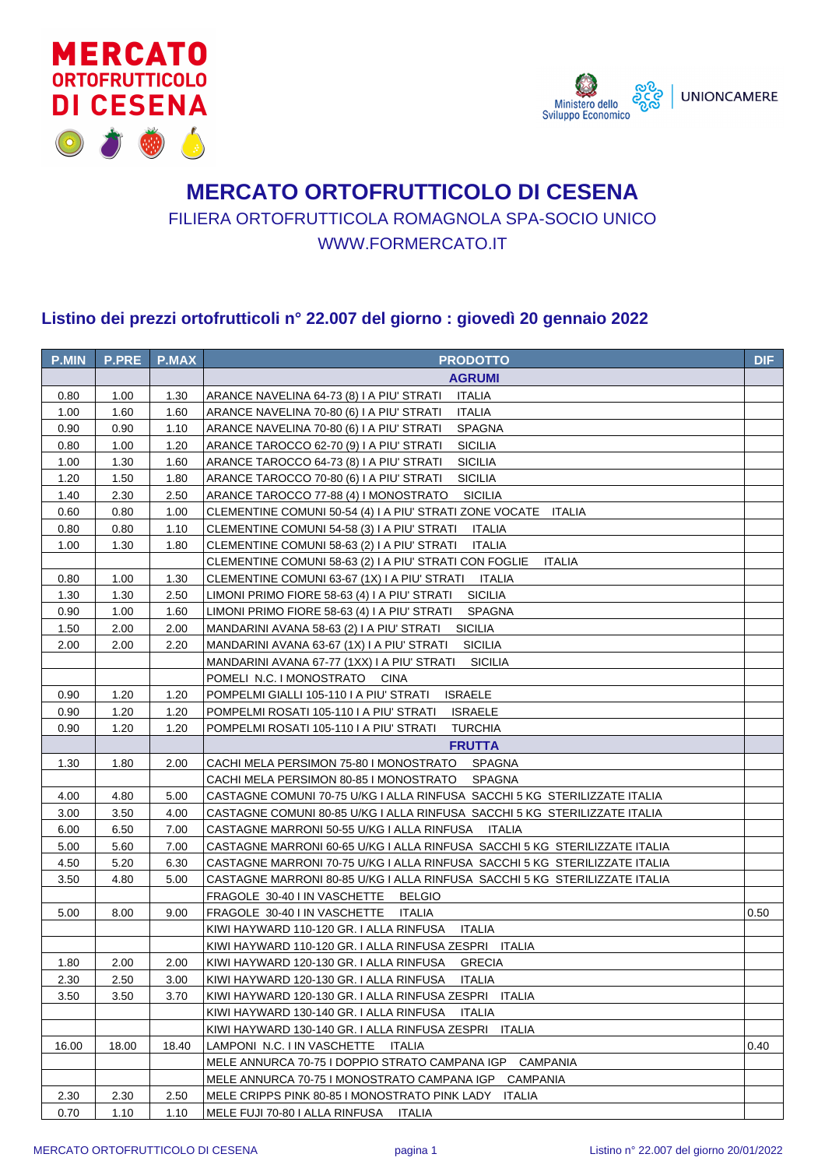



## **MERCATO ORTOFRUTTICOLO DI CESENA** FILIERA ORTOFRUTTICOLA ROMAGNOLA SPA-SOCIO UNICO WWW.FORMERCATO.IT

## **Listino dei prezzi ortofrutticoli n° 22.007 del giorno : giovedì 20 gennaio 2022**

| <b>P.MIN</b> | <b>P.PRE</b> | <b>P.MAX</b> | <b>PRODOTTO</b>                                                                                                   | <b>DIF</b> |
|--------------|--------------|--------------|-------------------------------------------------------------------------------------------------------------------|------------|
|              |              |              | <b>AGRUMI</b>                                                                                                     |            |
| 0.80         | 1.00         | 1.30         | <b>ITALIA</b><br>ARANCE NAVELINA 64-73 (8) I A PIU' STRATI                                                        |            |
| 1.00         | 1.60         | 1.60         | <b>ITALIA</b><br>ARANCE NAVELINA 70-80 (6) I A PIU' STRATI                                                        |            |
| 0.90         | 0.90         | 1.10         | ARANCE NAVELINA 70-80 (6) I A PIU' STRATI<br><b>SPAGNA</b>                                                        |            |
| 0.80         | 1.00         | 1.20         | <b>SICILIA</b><br>ARANCE TAROCCO 62-70 (9) I A PIU' STRATI                                                        |            |
| 1.00         | 1.30         | 1.60         | <b>SICILIA</b><br>ARANCE TAROCCO 64-73 (8) I A PIU' STRATI                                                        |            |
| 1.20         | 1.50         | 1.80         | ARANCE TAROCCO 70-80 (6) I A PIU' STRATI<br><b>SICILIA</b>                                                        |            |
| 1.40         | 2.30         | 2.50         | ARANCE TAROCCO 77-88 (4) I MONOSTRATO<br><b>SICILIA</b>                                                           |            |
| 0.60         | 0.80         | 1.00         | CLEMENTINE COMUNI 50-54 (4) I A PIU' STRATI ZONE VOCATE ITALIA                                                    |            |
| 0.80         | 0.80         | 1.10         | <b>ITALIA</b><br>CLEMENTINE COMUNI 54-58 (3) I A PIU' STRATI                                                      |            |
| 1.00         | 1.30         | 1.80         | <b>ITALIA</b><br>CLEMENTINE COMUNI 58-63 (2) I A PIU' STRATI                                                      |            |
|              |              |              | CLEMENTINE COMUNI 58-63 (2) I A PIU' STRATI CON FOGLIE<br><b>ITALIA</b>                                           |            |
| 0.80         | 1.00         | 1.30         | ITALIA<br>CLEMENTINE COMUNI 63-67 (1X) I A PIU' STRATI                                                            |            |
| 1.30         | 1.30         | 2.50         | <b>SICILIA</b><br>LIMONI PRIMO FIORE 58-63 (4) I A PIU' STRATI                                                    |            |
| 0.90         | 1.00         | 1.60         | LIMONI PRIMO FIORE 58-63 (4) I A PIU' STRATI<br><b>SPAGNA</b>                                                     |            |
| 1.50         | 2.00         | 2.00         | <b>SICILIA</b><br>MANDARINI AVANA 58-63 (2) I A PIU' STRATI                                                       |            |
| 2.00         | 2.00         | 2.20         | <b>SICILIA</b><br>MANDARINI AVANA 63-67 (1X) I A PIU' STRATI                                                      |            |
|              |              |              | <b>SICILIA</b><br>MANDARINI AVANA 67-77 (1XX) I A PIU' STRATI                                                     |            |
|              |              |              | POMELI N.C. I MONOSTRATO CINA                                                                                     |            |
| 0.90         | 1.20         | 1.20         | POMPELMI GIALLI 105-110 I A PIU' STRATI<br><b>ISRAELE</b>                                                         |            |
| 0.90         | 1.20         | 1.20         | POMPELMI ROSATI 105-110 I A PIU' STRATI ISRAELE                                                                   |            |
| 0.90         | 1.20         | 1.20         | POMPELMI ROSATI 105-110 I A PIU' STRATI<br><b>TURCHIA</b>                                                         |            |
|              |              |              | <b>FRUTTA</b>                                                                                                     |            |
| 1.30         | 1.80         | 2.00         | CACHI MELA PERSIMON 75-80 I MONOSTRATO SPAGNA                                                                     |            |
|              |              |              | CACHI MELA PERSIMON 80-85 I MONOSTRATO SPAGNA                                                                     |            |
| 4.00         | 4.80         | 5.00         | CASTAGNE COMUNI 70-75 U/KG I ALLA RINFUSA SACCHI 5 KG STERILIZZATE ITALIA                                         |            |
| 3.00         | 3.50         | 4.00         | CASTAGNE COMUNI 80-85 U/KG I ALLA RINFUSA SACCHI 5 KG STERILIZZATE ITALIA                                         |            |
| 6.00         | 6.50         | 7.00         | CASTAGNE MARRONI 50-55 U/KG I ALLA RINFUSA ITALIA                                                                 |            |
| 5.00         | 5.60         | 7.00         | CASTAGNE MARRONI 60-65 U/KG I ALLA RINFUSA SACCHI 5 KG STERILIZZATE ITALIA                                        |            |
| 4.50         | 5.20         | 6.30         | CASTAGNE MARRONI 70-75 U/KG I ALLA RINFUSA  SACCHI 5 KG  STERILIZZATE ITALIA                                      |            |
| 3.50         | 4.80         | 5.00         | CASTAGNE MARRONI 80-85 U/KG I ALLA RINFUSA SACCHI 5 KG STERILIZZATE ITALIA                                        |            |
|              |              |              | FRAGOLE 30-40 I IN VASCHETTE<br><b>BELGIO</b>                                                                     |            |
| 5.00         | 8.00         | 9.00         | FRAGOLE 30-40 I IN VASCHETTE<br>ITALIA                                                                            | 0.50       |
|              |              |              | KIWI HAYWARD 110-120 GR. I ALLA RINFUSA<br><b>ITALIA</b><br>KIWI HAYWARD 110-120 GR. I ALLA RINFUSA ZESPRI ITALIA |            |
|              |              |              |                                                                                                                   |            |
| 1.80         | 2.00         | 2.00         | KIWI HAYWARD 120-130 GR. I ALLA RINFUSA<br><b>GRECIA</b><br><b>ITALIA</b>                                         |            |
| 2.30<br>3.50 | 2.50<br>3.50 | 3.00<br>3.70 | KIWI HAYWARD 120-130 GR. I ALLA RINFUSA<br>KIWI HAYWARD 120-130 GR. I ALLA RINFUSA ZESPRI<br><b>ITALIA</b>        |            |
|              |              |              | KIWI HAYWARD 130-140 GR. I ALLA RINFUSA<br><b>ITALIA</b>                                                          |            |
|              |              |              | KIWI HAYWARD 130-140 GR. I ALLA RINFUSA ZESPRI<br><b>ITALIA</b>                                                   |            |
| 16.00        | 18.00        | 18.40        | LAMPONI N.C. I IN VASCHETTE<br>ITALIA                                                                             | 0.40       |
|              |              |              | MELE ANNURCA 70-75 I DOPPIO STRATO CAMPANA IGP<br>CAMPANIA                                                        |            |
|              |              |              | MELE ANNURCA 70-75 I MONOSTRATO CAMPANA IGP                                                                       |            |
|              |              | 2.50         | CAMPANIA<br>MELE CRIPPS PINK 80-85 I MONOSTRATO PINK LADY                                                         |            |
| 2.30         | 2.30         |              | <b>ITALIA</b>                                                                                                     |            |
| 0.70         | 1.10         | 1.10         | MELE FUJI 70-80 I ALLA RINFUSA<br><b>ITALIA</b>                                                                   |            |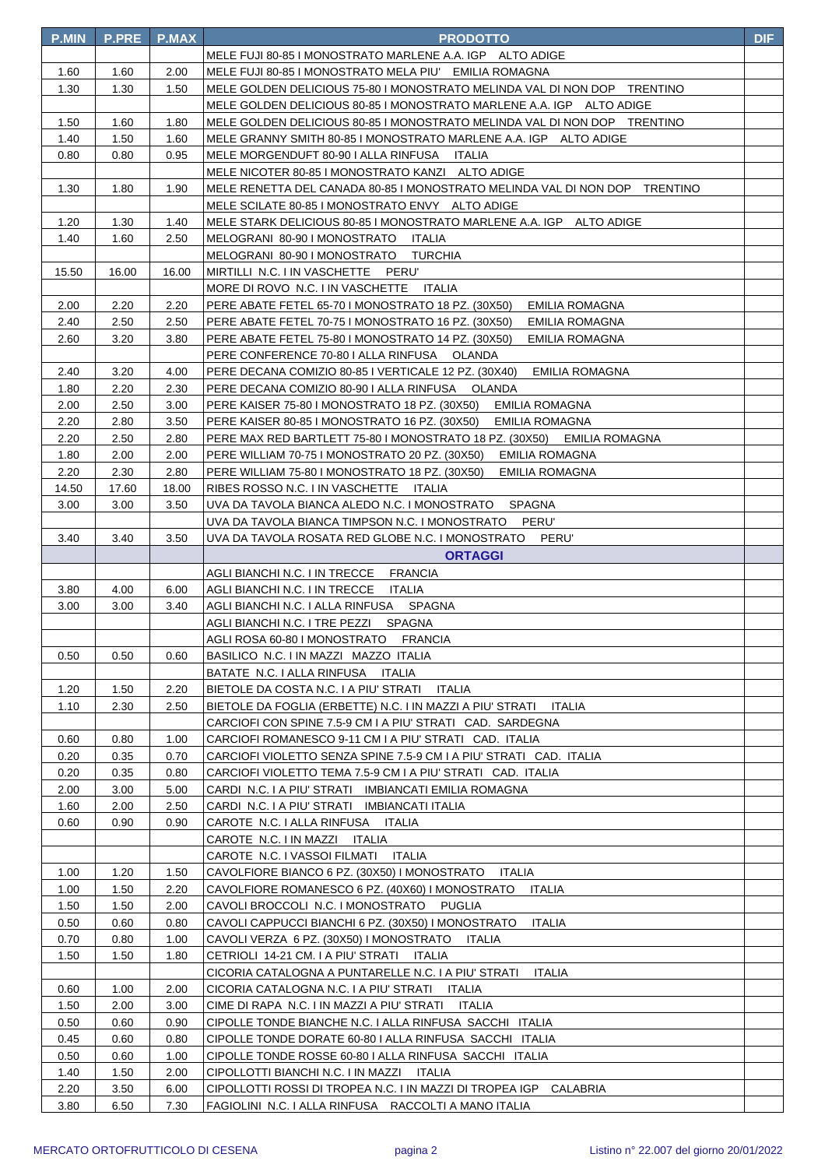| <b>P.MIN</b> | <b>P.PRE</b> | <b>P.MAX</b> | <b>PRODOTTO</b>                                                            | <b>DIF</b> |
|--------------|--------------|--------------|----------------------------------------------------------------------------|------------|
|              |              |              | MELE FUJI 80-85 I MONOSTRATO MARLENE A.A. IGP ALTO ADIGE                   |            |
| 1.60         | 1.60         | 2.00         | MELE FUJI 80-85 I MONOSTRATO MELA PIU' EMILIA ROMAGNA                      |            |
| 1.30         | 1.30         | 1.50         | MELE GOLDEN DELICIOUS 75-80 I MONOSTRATO MELINDA VAL DI NON DOP TRENTINO   |            |
|              |              |              | MELE GOLDEN DELICIOUS 80-85 I MONOSTRATO MARLENE A.A. IGP ALTO ADIGE       |            |
| 1.50         | 1.60         | 1.80         | MELE GOLDEN DELICIOUS 80-85 I MONOSTRATO MELINDA VAL DI NON DOP TRENTINO   |            |
| 1.40         | 1.50         | 1.60         | MELE GRANNY SMITH 80-85 I MONOSTRATO MARLENE A.A. IGP ALTO ADIGE           |            |
| 0.80         | 0.80         | 0.95         | MELE MORGENDUFT 80-90   ALLA RINFUSA ITALIA                                |            |
|              |              |              | MELE NICOTER 80-85 I MONOSTRATO KANZI ALTO ADIGE                           |            |
| 1.30         | 1.80         | 1.90         | MELE RENETTA DEL CANADA 80-85 I MONOSTRATO MELINDA VAL DI NON DOP TRENTINO |            |
|              |              |              | MELE SCILATE 80-85 I MONOSTRATO ENVY ALTO ADIGE                            |            |
| 1.20         | 1.30         | 1.40         | MELE STARK DELICIOUS 80-85 I MONOSTRATO MARLENE A.A. IGP ALTO ADIGE        |            |
| 1.40         | 1.60         | 2.50         | MELOGRANI 80-90 I MONOSTRATO ITALIA                                        |            |
|              |              |              | MELOGRANI 80-90 I MONOSTRATO TURCHIA                                       |            |
| 15.50        | 16.00        | 16.00        | MIRTILLI N.C. I IN VASCHETTE PERU'                                         |            |
|              |              |              | MORE DI ROVO N.C. I IN VASCHETTE ITALIA                                    |            |
| 2.00         | 2.20         | 2.20         | PERE ABATE FETEL 65-70 I MONOSTRATO 18 PZ. (30X50)<br>EMILIA ROMAGNA       |            |
| 2.40         | 2.50         | 2.50         | PERE ABATE FETEL 70-75 I MONOSTRATO 16 PZ. (30X50)<br>EMILIA ROMAGNA       |            |
| 2.60         | 3.20         | 3.80         | PERE ABATE FETEL 75-80 I MONOSTRATO 14 PZ. (30X50)<br>EMILIA ROMAGNA       |            |
|              |              |              | PERE CONFERENCE 70-80   ALLA RINFUSA OLANDA                                |            |
| 2.40         | 3.20         | 4.00         | PERE DECANA COMIZIO 80-85 I VERTICALE 12 PZ. (30X40)<br>EMILIA ROMAGNA     |            |
| 1.80         | 2.20         | 2.30         | PERE DECANA COMIZIO 80-90 I ALLA RINFUSA OLANDA                            |            |
| 2.00         | 2.50         | 3.00         | PERE KAISER 75-80 I MONOSTRATO 18 PZ. (30X50)<br><b>EMILIA ROMAGNA</b>     |            |
| 2.20         | 2.80         | 3.50         | PERE KAISER 80-85 I MONOSTRATO 16 PZ. (30X50)<br>EMILIA ROMAGNA            |            |
| 2.20         | 2.50         | 2.80         | PERE MAX RED BARTLETT 75-80 I MONOSTRATO 18 PZ. (30X50) EMILIA ROMAGNA     |            |
| 1.80         | 2.00         | 2.00         | PERE WILLIAM 70-75 I MONOSTRATO 20 PZ. (30X50)<br>EMILIA ROMAGNA           |            |
| 2.20         | 2.30         | 2.80         | PERE WILLIAM 75-80 I MONOSTRATO 18 PZ. (30X50)<br><b>EMILIA ROMAGNA</b>    |            |
| 14.50        | 17.60        | 18.00        | RIBES ROSSO N.C. I IN VASCHETTE ITALIA                                     |            |
| 3.00         | 3.00         | 3.50         | SPAGNA<br>UVA DA TAVOLA BIANCA ALEDO N.C. I MONOSTRATO                     |            |
|              |              |              | UVA DA TAVOLA BIANCA TIMPSON N.C. I MONOSTRATO<br>PERU'                    |            |
| 3.40         | 3.40         | 3.50         | UVA DA TAVOLA ROSATA RED GLOBE N.C. I MONOSTRATO<br>PERU'                  |            |
|              |              |              | <b>ORTAGGI</b>                                                             |            |
|              |              |              | AGLI BIANCHI N.C. I IN TRECCE FRANCIA                                      |            |
| 3.80         | 4.00         | 6.00         | ITALIA<br>AGLI BIANCHI N.C. I IN TRECCE                                    |            |
| 3.00         | 3.00         | 3.40         | AGLI BIANCHI N.C. I ALLA RINFUSA SPAGNA                                    |            |
|              |              |              | AGLI BIANCHI N.C. I TRE PEZZI<br>SPAGNA                                    |            |
|              |              |              | <b>FRANCIA</b><br>AGLI ROSA 60-80 I MONOSTRATO                             |            |
| 0.50         | 0.50         | 0.60         | BASILICO N.C. I IN MAZZI MAZZO ITALIA                                      |            |
|              |              |              | BATATE N.C. I ALLA RINFUSA ITALIA                                          |            |
| 1.20         | 1.50         | 2.20         | BIETOLE DA COSTA N.C. I A PIU' STRATI<br>ITALIA                            |            |
| 1.10         | 2.30         | 2.50         | BIETOLE DA FOGLIA (ERBETTE) N.C. I IN MAZZI A PIU' STRATI<br><b>ITALIA</b> |            |
|              |              |              | CARCIOFI CON SPINE 7.5-9 CM I A PIU' STRATI CAD. SARDEGNA                  |            |
| 0.60         | 0.80         | 1.00         | CARCIOFI ROMANESCO 9-11 CM I A PIU' STRATI CAD. ITALIA                     |            |
| 0.20         | 0.35         | 0.70         | CARCIOFI VIOLETTO SENZA SPINE 7.5-9 CM I A PIU' STRATI CAD. ITALIA         |            |
| 0.20         | 0.35         | 0.80         | CARCIOFI VIOLETTO TEMA 7.5-9 CM I A PIU' STRATI CAD. ITALIA                |            |
| 2.00         | 3.00         | 5.00         | CARDI N.C. I A PIU' STRATI IMBIANCATI EMILIA ROMAGNA                       |            |
| 1.60         | 2.00         | 2.50         | CARDI N.C. I A PIU' STRATI IMBIANCATI ITALIA                               |            |
| 0.60         | 0.90         | 0.90         | CAROTE N.C. I ALLA RINFUSA ITALIA                                          |            |
|              |              |              | CAROTE N.C. I IN MAZZI<br>ITALIA                                           |            |
|              |              |              | CAROTE N.C. I VASSOI FILMATI ITALIA                                        |            |
| 1.00         | 1.20         | 1.50         | CAVOLFIORE BIANCO 6 PZ. (30X50) I MONOSTRATO<br>ITALIA                     |            |
| 1.00         | 1.50         | 2.20         | CAVOLFIORE ROMANESCO 6 PZ. (40X60) I MONOSTRATO<br><b>ITALIA</b>           |            |
| 1.50         | 1.50         | 2.00         | CAVOLI BROCCOLI N.C. I MONOSTRATO PUGLIA                                   |            |
| 0.50         | 0.60         | 0.80         | CAVOLI CAPPUCCI BIANCHI 6 PZ. (30X50) I MONOSTRATO<br><b>ITALIA</b>        |            |
| 0.70         | 0.80         | 1.00         | CAVOLI VERZA 6 PZ. (30X50) I MONOSTRATO<br>ITALIA                          |            |
| 1.50         | 1.50         | 1.80         | CETRIOLI 14-21 CM. I A PIU' STRATI ITALIA                                  |            |
|              |              |              | CICORIA CATALOGNA A PUNTARELLE N.C. I A PIU' STRATI<br>ITALIA              |            |
| 0.60         | 1.00         | 2.00         | CICORIA CATALOGNA N.C. I A PIU' STRATI ITALIA                              |            |
| 1.50         | 2.00         | 3.00         | CIME DI RAPA N.C. I IN MAZZI A PIU' STRATI ITALIA                          |            |
| 0.50         | 0.60         | 0.90         | CIPOLLE TONDE BIANCHE N.C. I ALLA RINFUSA SACCHI ITALIA                    |            |
| 0.45         | 0.60         | 0.80         | CIPOLLE TONDE DORATE 60-80   ALLA RINFUSA SACCHI ITALIA                    |            |
| 0.50         | 0.60         | 1.00         | CIPOLLE TONDE ROSSE 60-80   ALLA RINFUSA SACCHI ITALIA                     |            |
| 1.40         | 1.50         | 2.00         | CIPOLLOTTI BIANCHI N.C. I IN MAZZI ITALIA                                  |            |
| 2.20         | 3.50         | 6.00         | CIPOLLOTTI ROSSI DI TROPEA N.C. I IN MAZZI DI TROPEA IGP CALABRIA          |            |
| 3.80         | 6.50         | 7.30         | FAGIOLINI N.C. I ALLA RINFUSA RACCOLTI A MANO ITALIA                       |            |
|              |              |              |                                                                            |            |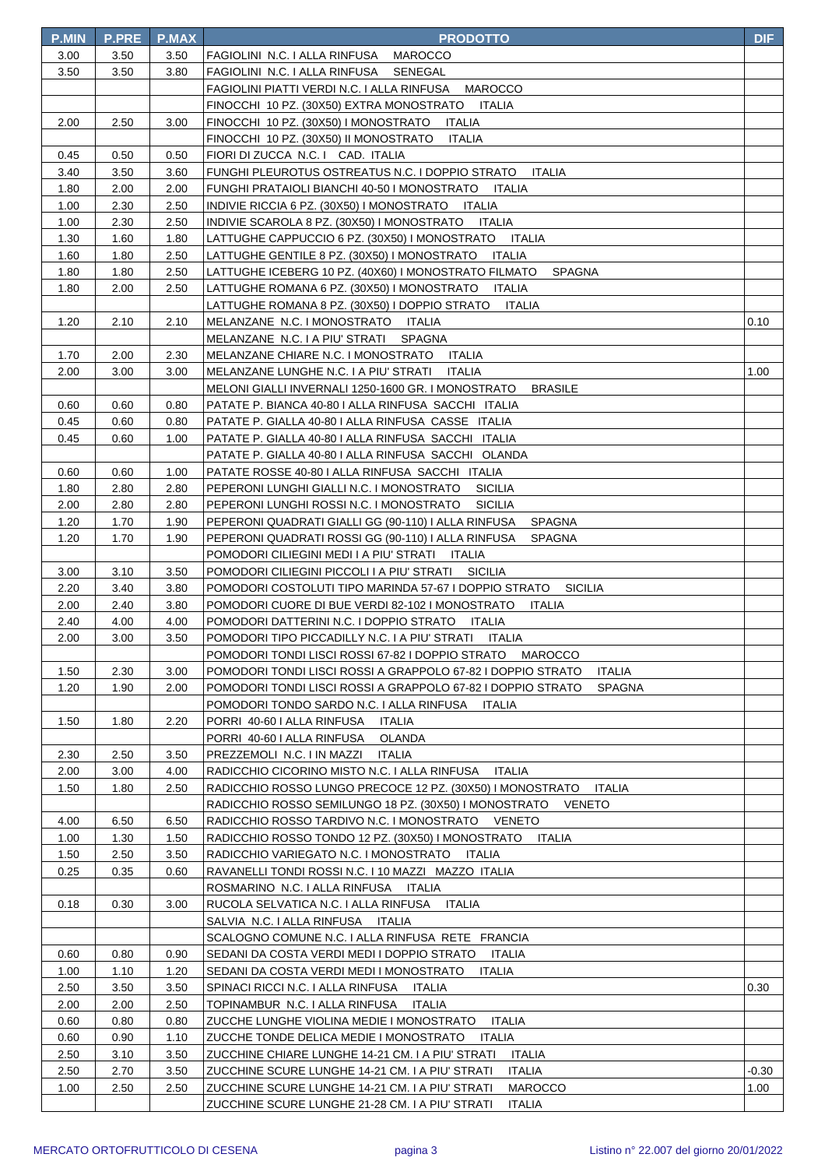| <b>P.MIN</b> | <b>P.PRE</b> | <b>P.MAX</b> | <b>PRODOTTO</b>                                                                                                                 | <b>DIF</b> |
|--------------|--------------|--------------|---------------------------------------------------------------------------------------------------------------------------------|------------|
| 3.00         | 3.50         | 3.50         | FAGIOLINI N.C. I ALLA RINFUSA<br><b>MAROCCO</b>                                                                                 |            |
| 3.50         | 3.50         | 3.80         | FAGIOLINI N.C. I ALLA RINFUSA<br>SENEGAL                                                                                        |            |
|              |              |              | FAGIOLINI PIATTI VERDI N.C. I ALLA RINFUSA MAROCCO                                                                              |            |
|              |              |              | FINOCCHI 10 PZ. (30X50) EXTRA MONOSTRATO ITALIA                                                                                 |            |
| 2.00         | 2.50         | 3.00         | FINOCCHI 10 PZ. (30X50) I MONOSTRATO<br>ITALIA                                                                                  |            |
|              |              |              | FINOCCHI 10 PZ. (30X50) II MONOSTRATO<br>ITALIA                                                                                 |            |
| 0.45         | 0.50         | 0.50         | FIORI DI ZUCCA N.C. I CAD. ITALIA                                                                                               |            |
| 3.40         | 3.50         | 3.60         | FUNGHI PLEUROTUS OSTREATUS N.C. I DOPPIO STRATO<br><b>ITALIA</b>                                                                |            |
| 1.80         | 2.00         | 2.00         | FUNGHI PRATAIOLI BIANCHI 40-50 I MONOSTRATO ITALIA                                                                              |            |
| 1.00         | 2.30         | 2.50         | INDIVIE RICCIA 6 PZ. (30X50) I MONOSTRATO ITALIA                                                                                |            |
| 1.00         | 2.30         | 2.50         | INDIVIE SCAROLA 8 PZ. (30X50) I MONOSTRATO ITALIA                                                                               |            |
| 1.30         | 1.60         | 1.80         | LATTUGHE CAPPUCCIO 6 PZ. (30X50) I MONOSTRATO ITALIA                                                                            |            |
| 1.60         | 1.80         | 2.50         | LATTUGHE GENTILE 8 PZ. (30X50) I MONOSTRATO<br>ITALIA                                                                           |            |
| 1.80         | 1.80         | 2.50         | LATTUGHE ICEBERG 10 PZ. (40X60) I MONOSTRATO FILMATO<br>SPAGNA                                                                  |            |
| 1.80         | 2.00         | 2.50         | LATTUGHE ROMANA 6 PZ. (30X50) I MONOSTRATO ITALIA                                                                               |            |
|              |              |              | LATTUGHE ROMANA 8 PZ. (30X50) I DOPPIO STRATO<br>ITALIA                                                                         |            |
| 1.20         | 2.10         | 2.10         | MELANZANE N.C. I MONOSTRATO ITALIA                                                                                              | 0.10       |
|              |              |              | MELANZANE N.C. I A PIU' STRATI<br>SPAGNA                                                                                        |            |
| 1.70         | 2.00         | 2.30         | MELANZANE CHIARE N.C. I MONOSTRATO ITALIA                                                                                       |            |
| 2.00         | 3.00         | 3.00         | MELANZANE LUNGHE N.C. I A PIU' STRATI<br><b>ITALIA</b>                                                                          | 1.00       |
|              |              |              | MELONI GIALLI INVERNALI 1250-1600 GR. I MONOSTRATO<br><b>BRASILE</b>                                                            |            |
| 0.60         | 0.60         | 0.80         | PATATE P. BIANCA 40-80   ALLA RINFUSA SACCHI ITALIA                                                                             |            |
| 0.45         | 0.60         | 0.80         | PATATE P. GIALLA 40-80   ALLA RINFUSA CASSE ITALIA                                                                              |            |
| 0.45         | 0.60         | 1.00         | PATATE P. GIALLA 40-80 I ALLA RINFUSA SACCHI ITALIA                                                                             |            |
|              |              |              | PATATE P. GIALLA 40-80 I ALLA RINFUSA SACCHI OLANDA                                                                             |            |
| 0.60         | 0.60         | 1.00         | PATATE ROSSE 40-80   ALLA RINFUSA SACCHI ITALIA                                                                                 |            |
| 1.80         | 2.80         | 2.80         | PEPERONI LUNGHI GIALLI N.C. I MONOSTRATO<br><b>SICILIA</b>                                                                      |            |
| 2.00         | 2.80         | 2.80         | PEPERONI LUNGHI ROSSI N.C. I MONOSTRATO<br><b>SICILIA</b>                                                                       |            |
| 1.20         | 1.70         | 1.90         | PEPERONI QUADRATI GIALLI GG (90-110) I ALLA RINFUSA<br>SPAGNA                                                                   |            |
| 1.20         | 1.70         | 1.90         | PEPERONI QUADRATI ROSSI GG (90-110) I ALLA RINFUSA<br><b>SPAGNA</b>                                                             |            |
|              |              |              | POMODORI CILIEGINI MEDI I A PIU' STRATI ITALIA                                                                                  |            |
| 3.00         | 3.10         | 3.50         | POMODORI CILIEGINI PICCOLI I A PIU' STRATI<br><b>SICILIA</b>                                                                    |            |
| 2.20         | 3.40         | 3.80         | POMODORI COSTOLUTI TIPO MARINDA 57-67 I DOPPIO STRATO<br><b>SICILIA</b>                                                         |            |
| 2.00         | 2.40         | 3.80         | POMODORI CUORE DI BUE VERDI 82-102 I MONOSTRATO<br>ITALIA                                                                       |            |
| 2.40         | 4.00         | 4.00         | POMODORI DATTERINI N.C. I DOPPIO STRATO<br>ITALIA                                                                               |            |
| 2.00         | 3.00         | 3.50         | POMODORI TIPO PICCADILLY N.C. I A PIU' STRATI<br>ITALIA                                                                         |            |
|              |              |              | POMODORI TONDI LISCI ROSSI 67-82 I DOPPIO STRATO MAROCCO                                                                        |            |
| 1.50         | 2.30         | 3.00         | POMODORI TONDI LISCI ROSSI A GRAPPOLO 67-82 I DOPPIO STRATO<br><b>ITALIA</b>                                                    |            |
| 1.20         | 1.90         | 2.00         | POMODORI TONDI LISCI ROSSI A GRAPPOLO 67-82 I DOPPIO STRATO<br><b>SPAGNA</b><br>POMODORI TONDO SARDO N.C. I ALLA RINFUSA ITALIA |            |
|              |              |              | PORRI 40-60   ALLA RINFUSA<br>ITALIA                                                                                            |            |
| 1.50         | 1.80         | 2.20         | PORRI 40-60 I ALLA RINFUSA<br>OLANDA                                                                                            |            |
| 2.30         |              |              | PREZZEMOLI N.C. I IN MAZZI                                                                                                      |            |
| 2.00         | 2.50<br>3.00 | 3.50<br>4.00 | ITALIA<br>RADICCHIO CICORINO MISTO N.C. I ALLA RINFUSA<br>ITALIA                                                                |            |
| 1.50         | 1.80         | 2.50         | RADICCHIO ROSSO LUNGO PRECOCE 12 PZ. (30X50) I MONOSTRATO<br><b>ITALIA</b>                                                      |            |
|              |              |              | RADICCHIO ROSSO SEMILUNGO 18 PZ. (30X50) I MONOSTRATO<br>VENETO                                                                 |            |
| 4.00         | 6.50         | 6.50         | RADICCHIO ROSSO TARDIVO N.C. I MONOSTRATO VENETO                                                                                |            |
| 1.00         | 1.30         | 1.50         | RADICCHIO ROSSO TONDO 12 PZ. (30X50) I MONOSTRATO<br>ITALIA                                                                     |            |
| 1.50         | 2.50         | 3.50         | RADICCHIO VARIEGATO N.C. I MONOSTRATO ITALIA                                                                                    |            |
| 0.25         | 0.35         | 0.60         | RAVANELLI TONDI ROSSI N.C. I 10 MAZZI MAZZO ITALIA                                                                              |            |
|              |              |              | ROSMARINO N.C. I ALLA RINFUSA ITALIA                                                                                            |            |
| 0.18         | 0.30         | 3.00         | RUCOLA SELVATICA N.C. I ALLA RINFUSA<br>ITALIA                                                                                  |            |
|              |              |              | SALVIA N.C. I ALLA RINFUSA ITALIA                                                                                               |            |
|              |              |              | SCALOGNO COMUNE N.C. I ALLA RINFUSA RETE FRANCIA                                                                                |            |
| 0.60         | 0.80         | 0.90         | SEDANI DA COSTA VERDI MEDI I DOPPIO STRATO<br>ITALIA                                                                            |            |
| 1.00         | 1.10         | 1.20         | SEDANI DA COSTA VERDI MEDI I MONOSTRATO<br>ITALIA                                                                               |            |
| 2.50         | 3.50         | 3.50         | SPINACI RICCI N.C. I ALLA RINFUSA<br>ITALIA                                                                                     | 0.30       |
| 2.00         | 2.00         | 2.50         | TOPINAMBUR N.C. I ALLA RINFUSA<br><b>ITALIA</b>                                                                                 |            |
| 0.60         | 0.80         | 0.80         | ZUCCHE LUNGHE VIOLINA MEDIE I MONOSTRATO<br><b>ITALIA</b>                                                                       |            |
| 0.60         | 0.90         | 1.10         | ZUCCHE TONDE DELICA MEDIE I MONOSTRATO<br>ITALIA                                                                                |            |
| 2.50         | 3.10         | 3.50         | ZUCCHINE CHIARE LUNGHE 14-21 CM. I A PIU' STRATI<br>ITALIA                                                                      |            |
| 2.50         | 2.70         | 3.50         | ZUCCHINE SCURE LUNGHE 14-21 CM. I A PIU' STRATI<br><b>ITALIA</b>                                                                | -0.30      |
| 1.00         | 2.50         | 2.50         | <b>MAROCCO</b><br>ZUCCHINE SCURE LUNGHE 14-21 CM. I A PIU' STRATI                                                               | 1.00       |
|              |              |              | ZUCCHINE SCURE LUNGHE 21-28 CM. I A PIU' STRATI<br>ITALIA                                                                       |            |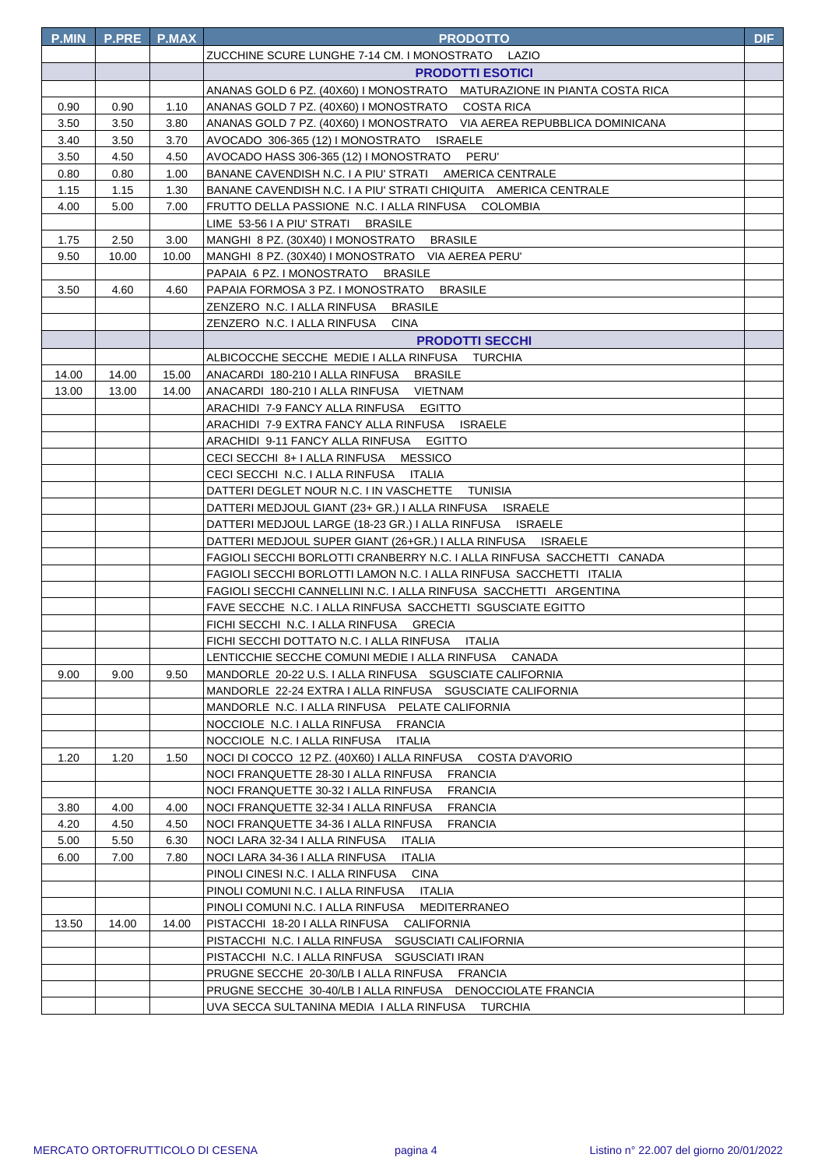| <b>P.MIN</b> | <b>P.PRE</b> | <b>P.MAX</b> | <b>PRODOTTO</b>                                                         | <b>DIF</b> |
|--------------|--------------|--------------|-------------------------------------------------------------------------|------------|
|              |              |              | ZUCCHINE SCURE LUNGHE 7-14 CM. I MONOSTRATO LAZIO                       |            |
|              |              |              | <b>PRODOTTI ESOTICI</b>                                                 |            |
|              |              |              | ANANAS GOLD 6 PZ. (40X60) I MONOSTRATO MATURAZIONE IN PIANTA COSTA RICA |            |
| 0.90         | 0.90         | 1.10         | ANANAS GOLD 7 PZ. (40X60) I MONOSTRATO COSTA RICA                       |            |
| 3.50         | 3.50         | 3.80         | ANANAS GOLD 7 PZ. (40X60) I MONOSTRATO VIA AEREA REPUBBLICA DOMINICANA  |            |
| 3.40         | 3.50         | 3.70         | AVOCADO 306-365 (12) I MONOSTRATO ISRAELE                               |            |
| 3.50         | 4.50         | 4.50         | AVOCADO HASS 306-365 (12) I MONOSTRATO PERU'                            |            |
| 0.80         | 0.80         | 1.00         | BANANE CAVENDISH N.C. I A PIU' STRATI AMERICA CENTRALE                  |            |
| 1.15         | 1.15         | 1.30         | BANANE CAVENDISH N.C. I A PIU' STRATI CHIQUITA AMERICA CENTRALE         |            |
| 4.00         | 5.00         | 7.00         | FRUTTO DELLA PASSIONE N.C. I ALLA RINFUSA COLOMBIA                      |            |
|              |              |              | LIME 53-56 I A PIU' STRATI BRASILE                                      |            |
| 1.75         | 2.50         | 3.00         | MANGHI 8 PZ. (30X40) I MONOSTRATO BRASILE                               |            |
| 9.50         | 10.00        | 10.00        | MANGHI 8 PZ. (30X40) I MONOSTRATO VIA AEREA PERU'                       |            |
|              |              |              | PAPAIA 6 PZ. I MONOSTRATO BRASILE                                       |            |
| 3.50         | 4.60         | 4.60         | PAPAIA FORMOSA 3 PZ. I MONOSTRATO BRASILE                               |            |
|              |              |              | ZENZERO N.C. I ALLA RINFUSA BRASILE                                     |            |
|              |              |              | ZENZERO N.C. I ALLA RINFUSA<br><b>CINA</b>                              |            |
|              |              |              | <b>PRODOTTI SECCHI</b>                                                  |            |
|              |              |              | ALBICOCCHE SECCHE MEDIE I ALLA RINFUSA TURCHIA                          |            |
| 14.00        | 14.00        | 15.00        | ANACARDI 180-210 I ALLA RINFUSA BRASILE                                 |            |
| 13.00        | 13.00        | 14.00        | ANACARDI 180-210 I ALLA RINFUSA VIETNAM                                 |            |
|              |              |              | EGITTO<br>ARACHIDI 7-9 FANCY ALLA RINFUSA                               |            |
|              |              |              | ARACHIDI 7-9 EXTRA FANCY ALLA RINFUSA ISRAELE                           |            |
|              |              |              | ARACHIDI 9-11 FANCY ALLA RINFUSA EGITTO                                 |            |
|              |              |              | CECI SECCHI 8+ I ALLA RINFUSA MESSICO                                   |            |
|              |              |              | CECI SECCHI N.C. I ALLA RINFUSA ITALIA                                  |            |
|              |              |              | DATTERI DEGLET NOUR N.C. I IN VASCHETTE TUNISIA                         |            |
|              |              |              | DATTERI MEDJOUL GIANT (23+ GR.) I ALLA RINFUSA ISRAELE                  |            |
|              |              |              | DATTERI MEDJOUL LARGE (18-23 GR.) I ALLA RINFUSA ISRAELE                |            |
|              |              |              | DATTERI MEDJOUL SUPER GIANT (26+GR.) I ALLA RINFUSA ISRAELE             |            |
|              |              |              | FAGIOLI SECCHI BORLOTTI CRANBERRY N.C. I ALLA RINFUSA SACCHETTI CANADA  |            |
|              |              |              | FAGIOLI SECCHI BORLOTTI LAMON N.C. I ALLA RINFUSA SACCHETTI ITALIA      |            |
|              |              |              | FAGIOLI SECCHI CANNELLINI N.C. I ALLA RINFUSA SACCHETTI ARGENTINA       |            |
|              |              |              | FAVE SECCHE N.C. I ALLA RINFUSA SACCHETTI SGUSCIATE EGITTO              |            |
|              |              |              | FICHI SECCHI N.C. I ALLA RINFUSA GRECIA                                 |            |
|              |              |              | FICHI SECCHI DOTTATO N.C. I ALLA RINFUSA<br>ITALIA                      |            |
|              |              |              | LENTICCHIE SECCHE COMUNI MEDIE I ALLA RINFUSA CANADA                    |            |
| 9.00         | 9.00         | 9.50         | MANDORLE 20-22 U.S. I ALLA RINFUSA SGUSCIATE CALIFORNIA                 |            |
|              |              |              | MANDORLE 22-24 EXTRA I ALLA RINFUSA SGUSCIATE CALIFORNIA                |            |
|              |              |              | MANDORLE N.C. I ALLA RINFUSA PELATE CALIFORNIA                          |            |
|              |              |              | NOCCIOLE N.C. I ALLA RINFUSA<br><b>FRANCIA</b>                          |            |
|              |              |              | NOCCIOLE N.C. I ALLA RINFUSA<br><b>ITALIA</b>                           |            |
| 1.20         | 1.20         | 1.50         | NOCI DI COCCO 12 PZ. (40X60) I ALLA RINFUSA<br>COSTA D'AVORIO           |            |
|              |              |              | NOCI FRANQUETTE 28-30 I ALLA RINFUSA<br><b>FRANCIA</b>                  |            |
|              |              |              | NOCI FRANQUETTE 30-32 I ALLA RINFUSA<br><b>FRANCIA</b>                  |            |
| 3.80         | 4.00         | 4.00         | NOCI FRANQUETTE 32-34 I ALLA RINFUSA<br><b>FRANCIA</b>                  |            |
| 4.20         | 4.50         | 4.50         | NOCI FRANQUETTE 34-36   ALLA RINFUSA<br><b>FRANCIA</b>                  |            |
| 5.00         | 5.50         | 6.30         | NOCI LARA 32-34 I ALLA RINFUSA<br><b>ITALIA</b>                         |            |
| 6.00         | 7.00         | 7.80         | <b>ITALIA</b><br>NOCI LARA 34-36 I ALLA RINFUSA                         |            |
|              |              |              | PINOLI CINESI N.C. I ALLA RINFUSA<br><b>CINA</b>                        |            |
|              |              |              | PINOLI COMUNI N.C. I ALLA RINFUSA<br>ITALIA                             |            |
|              |              |              | PINOLI COMUNI N.C. I ALLA RINFUSA<br>MEDITERRANEO                       |            |
| 13.50        | 14.00        | 14.00        | PISTACCHI 18-20 I ALLA RINFUSA CALIFORNIA                               |            |
|              |              |              | PISTACCHI N.C. I ALLA RINFUSA SGUSCIATI CALIFORNIA                      |            |
|              |              |              | PISTACCHI N.C. I ALLA RINFUSA SGUSCIATI IRAN                            |            |
|              |              |              | PRUGNE SECCHE 20-30/LB I ALLA RINFUSA FRANCIA                           |            |
|              |              |              | PRUGNE SECCHE 30-40/LB I ALLA RINFUSA DENOCCIOLATE FRANCIA              |            |
|              |              |              | UVA SECCA SULTANINA MEDIA I ALLA RINFUSA TURCHIA                        |            |